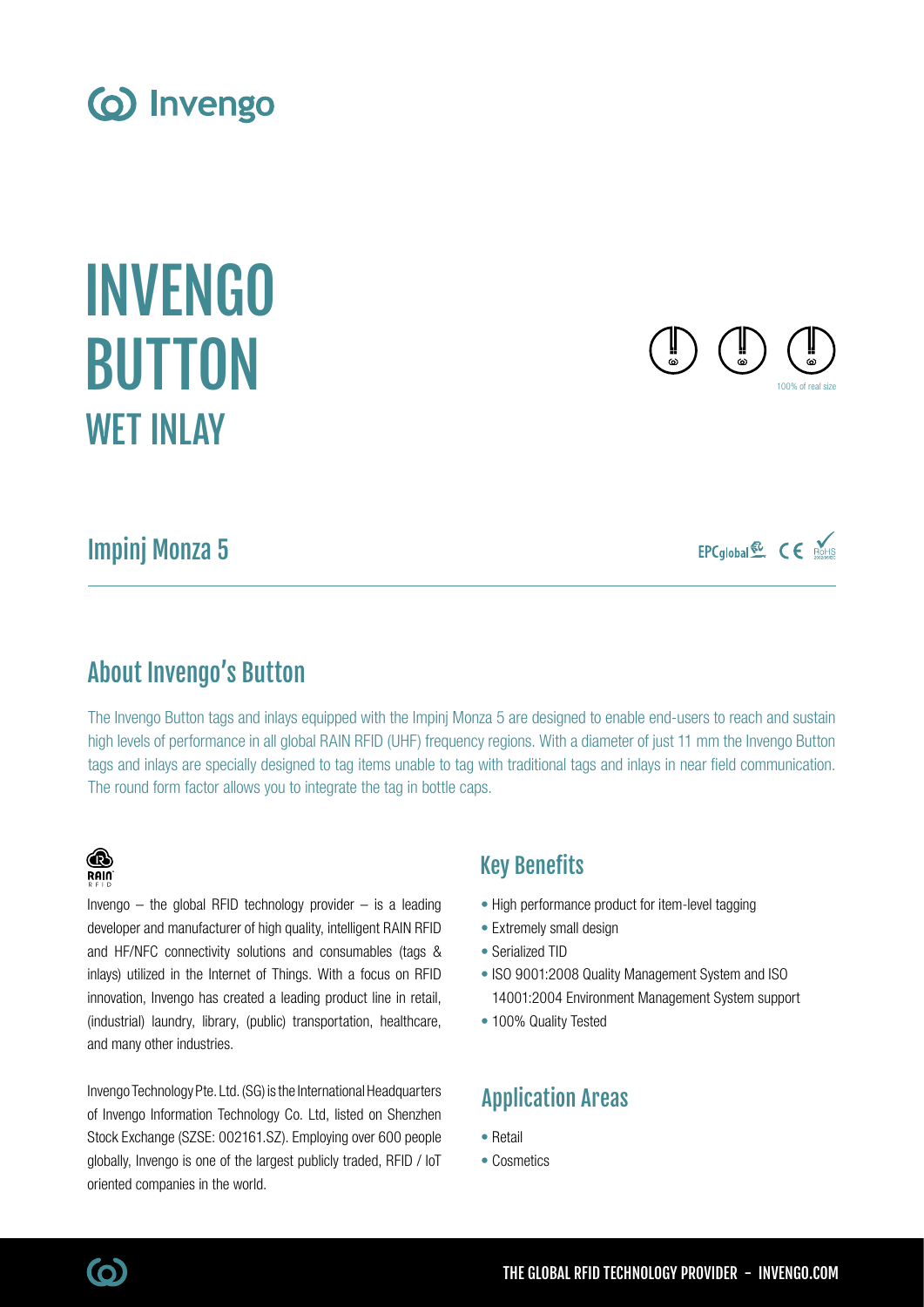## About Invengo's Button

The Invengo Button tags and inlays equipped with the Impinj Monza 5 are designed to enable end-users to reach and sustain high levels of performance in all global RAIN RFID (UHF) frequency regions. With a diameter of just 11 mm the Invengo Button tags and inlays are specially designed to tag items unable to tag with traditional tags and inlays in near field communication. The round form factor allows you to integrate the tag in bottle caps.

### Key Benefits

- High performance product for item-level tagging
- Extremely small design
- Serialized TID
- ISO 9001:2008 Quality Management System and ISO 14001:2004 Environment Management System support
- 100% Quality Tested

## Application Areas

- Retail
- Cosmetics

# **B**

Invengo  $-$  the global RFID technology provider  $-$  is a leading developer and manufacturer of high quality, intelligent RAIN RFID and HF/NFC connectivity solutions and consumables (tags & inlays) utilized in the Internet of Things. With a focus on RFID innovation, Invengo has created a leading product line in retail, (industrial) laundry, library, (public) transportation, healthcare, and many other industries.

Invengo Technology Pte. Ltd. (SG) is the International Headquarters of Invengo Information Technology Co. Ltd, listed on Shenzhen Stock Exchange (SZSE: 002161.SZ). Employing over 600 people globally, Invengo is one of the largest publicly traded, RFID / IoT oriented companies in the world.

## Impinj Monza 5

## INVENGO **BUTTON** WET INLAY

(o) Invengo







(ဝ)

**RAIN**